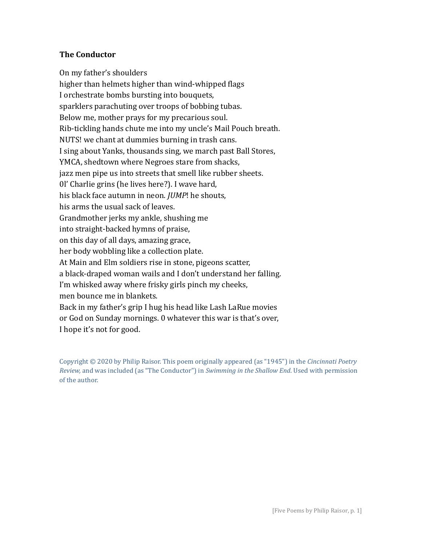# **The Conductor**

On my father's shoulders higher than helmets higher than wind-whipped flags I orchestrate bombs bursting into bouquets, sparklers parachuting over troops of bobbing tubas. Below me, mother prays for my precarious soul. Rib-tickling hands chute me into my uncle's Mail Pouch breath. NUTS! we chant at dummies burning in trash cans. I sing about Yanks, thousands sing, we march past Ball Stores, YMCA, shedtown where Negroes stare from shacks, jazz men pipe us into streets that smell like rubber sheets. 0l' Charlie grins (he lives here?). I wave hard, his black face autumn in neon. *JUMP*! he shouts, his arms the usual sack of leaves. Grandmother jerks my ankle, shushing me into straight-backed hymns of praise, on this day of all days, amazing grace, her body wobbling like a collection plate. At Main and Elm soldiers rise in stone, pigeons scatter, a black-draped woman wails and I don't understand her falling. I'm whisked away where frisky girls pinch my cheeks, men bounce me in blankets. Back in my father's grip I hug his head like Lash LaRue movies or God on Sunday mornings. 0 whatever this war is that's over, I hope it's not for good.

Copyright © 2020 by Philip Raisor. This poem originally appeared (as "1945") in the *Cincinnati Poetry Review,* and was included (as "The Conductor") in *Swimming in the Shallow End*. Used with permission of the author.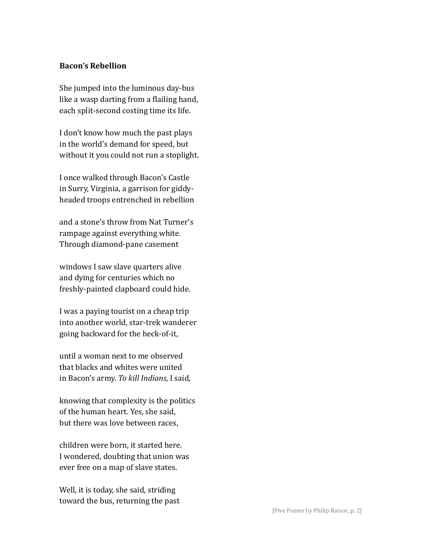## **Bacon's Rebellion**

She jumped into the luminous day-bus like a wasp darting from a flailing hand, each split-second costing time its life.

I don't know how much the past plays in the world's demand for speed, but without it you could not run a stoplight.

I once walked through Bacon's Castle in Surry, Virginia, a garrison for giddyheaded troops entrenched in rebellion

and a stone's throw from Nat Turner's rampage against everything white. Through diamond-pane casement

windows I saw slave quarters alive and dying for centuries which no freshly-painted clapboard could hide.

I was a paying tourist on a cheap trip into another world, star-trek wanderer going backward for the heck-of-it,

until a woman next to me observed that blacks and whites were united in Bacon's army. *To kill Indians*, I said,

knowing that complexity is the politics of the human heart. Yes, she said, but there was love between races,

children were born, it started here. I wondered, doubting that union was ever free on a map of slave states.

Well, it is today, she said, striding toward the bus, returning the past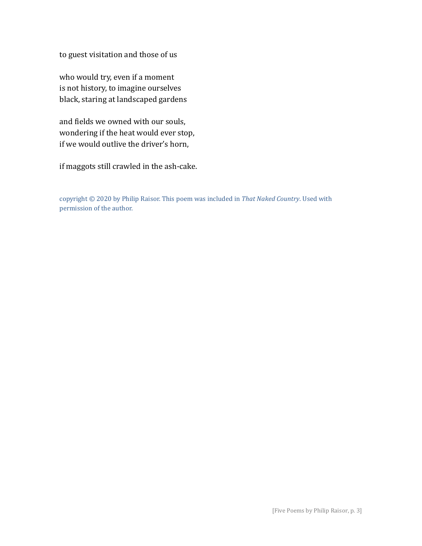to guest visitation and those of us

who would try, even if a moment is not history, to imagine ourselves black, staring at landscaped gardens

and fields we owned with our souls, wondering if the heat would ever stop, if we would outlive the driver's horn,

if maggots still crawled in the ash-cake.

copyright © 2020 by Philip Raisor. This poem was included in *That Naked Country*. Used with permission of the author.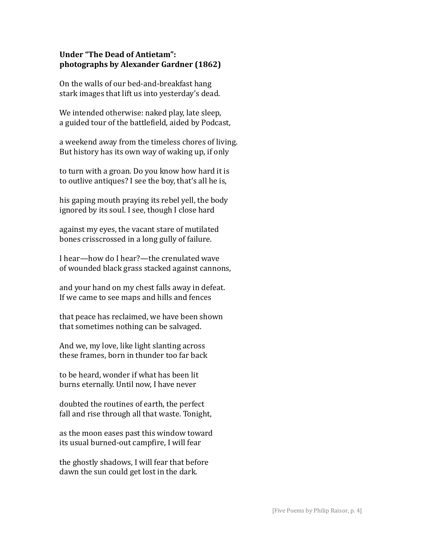# **Under "The Dead of Antietam": photographs by Alexander Gardner (1862)**

On the walls of our bed-and-breakfast hang stark images that lift us into yesterday's dead.

We intended otherwise: naked play, late sleep, a guided tour of the battlefield, aided by Podcast,

a weekend away from the timeless chores of living. But history has its own way of waking up, if only

to turn with a groan. Do you know how hard it is to outlive antiques? I see the boy, that's all he is,

his gaping mouth praying its rebel yell, the body ignored by its soul. I see, though I close hard

against my eyes, the vacant stare of mutilated bones crisscrossed in a long gully of failure.

I hear—how do I hear?—the crenulated wave of wounded black grass stacked against cannons,

and your hand on my chest falls away in defeat. If we came to see maps and hills and fences

that peace has reclaimed, we have been shown that sometimes nothing can be salvaged.

And we, my love, like light slanting across these frames, born in thunder too far back

to be heard, wonder if what has been lit burns eternally. Until now, I have never

doubted the routines of earth, the perfect fall and rise through all that waste. Tonight,

as the moon eases past this window toward its usual burned-out campfire, I will fear

the ghostly shadows, I will fear that before dawn the sun could get lost in the dark.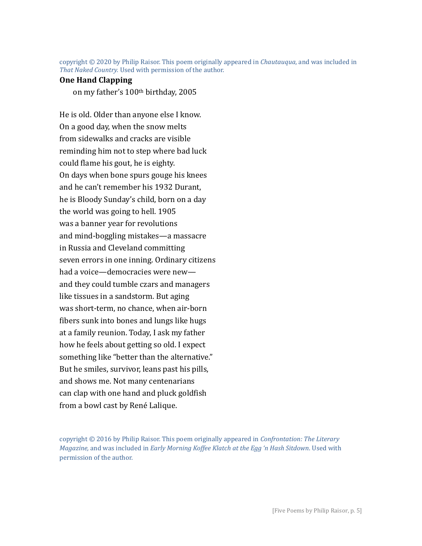copyright © 2020 by Philip Raisor. This poem originally appeared in *Chautauqua*, and was included in *That Naked Country.* Used with permission of the author.

### **One Hand Clapping**

on my father's 100th birthday, 2005

He is old. Older than anyone else I know. On a good day, when the snow melts from sidewalks and cracks are visible reminding him not to step where bad luck could flame his gout, he is eighty. On days when bone spurs gouge his knees and he can't remember his 1932 Durant, he is Bloody Sunday's child, born on a day the world was going to hell. 1905 was a banner year for revolutions and mind-boggling mistakes—a massacre in Russia and Cleveland committing seven errors in one inning. Ordinary citizens had a voice—democracies were new and they could tumble czars and managers like tissues in a sandstorm. But aging was short-term, no chance, when air-born fibers sunk into bones and lungs like hugs at a family reunion. Today, I ask my father how he feels about getting so old. I expect something like "better than the alternative." But he smiles, survivor, leans past his pills, and shows me. Not many centenarians can clap with one hand and pluck goldfish from a bowl cast by René Lalique.

copyright © 2016 by Philip Raisor. This poem originally appeared in *Confrontation: The Literary Magazine,* and was included in *Early Morning Koffee Klatch at the Egg 'n Hash Sitdown*. Used with permission of the author.